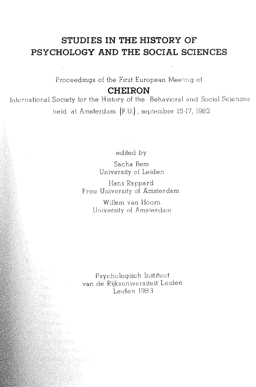# **STUDIES IN THE HISTORY OF PSYCHOLOGY AND THE SOCIAL SCIENCES**

Proceedings of the First European Meeting of **CHEIRON** 

International Society for the History of the Behavioral and Social Sciences held at Amsterdam (F.U.), september 15-17, 1982

edited by

Sacha Bern University of Leiden

Hans Rappard Free University of Amsterdam

> Willem van Hoorn University of Amsterdam

Psychologisch lnstituut van de Rijksuniversiteit Leiden Leiden 1983

Ballina<br>Manazarta

9ko ensi<br>Reference en 1 ing ay ang pag-agawan<br>Sing ang pag-agawan ang pag-agawan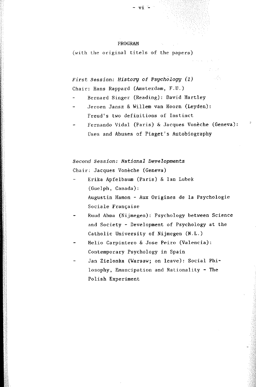#### PROGRAM

(with the original titels of the papers)

*First Session: History* of *Psgchology (1)*  Chair: Hans Rappard (Amsterdam, F.U.)

- Bernard Singer (Reading): David Hartley
- Jeroen Jansz & Willem van Hoorn (Leyden): Freud's two definitions of Instinct
- Fernando Vidal (Paris) & Jacques Vonèche (Geneva): Uses and Abuses of Piaget's Autobiography

网络

*Second Session: National Developments*  Chair: Jacques Vonèche (Geneva)

- Erika Apfelbaum (Paris) & Ian Lubek (Guelph, Canada): Augustin Hamen - Aux Origines de la Psychologie Sociale Française
- Ruud Abma (Nijmegen): Psychology between Science and Society - Development of Psychology at the Catholic University of Nijmegen (N.L.)
- Helio Carpintero & Jose Peiro (Valencia): Contemporary Psychology in Spain
- Jan Zielonka (Warsaw; on leave): Social Philosophy, Emancipation and Rationality - The Polish Experiment

- vi -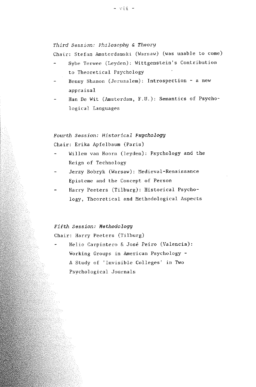$-$  vii.  $-$ 

### *Third Session: Philosophy & Theory*

Chair: Stefan Amsterdamski (Warsaw) (was unable to come)

- Sybe Terwee (Leyden): Wi ttgenstein' s Contribution to Theoretical Psychology
- Benny Shanon (Jerusalem): Introspection a new appraisal
- Han De Wit (Amsterdam, F.U.): Semantics of Psychological Languages

# *Fourth Session: Historical Psychology*  Chair: Erika Apfelbaum (Paris)

- Willem van Hoorn (leyden): Psychology and the Reign of Technology
- Jerzy Bobryk (Warsaw): Hedieval-Renaissance Episteme and the Concept of Person
- Harry Peeters (Tilburg): Historical Psychology, Theoretical and Methodological Aspects

## *Fifth* Session: *Methodologg*

Chair: Harry Peeters (Tilburg)

Helio Carpintero & José Peiro (Valencia): Working Groups in American Psychology - A Study of 'Invisible Colleges' in Two Psychological Journals